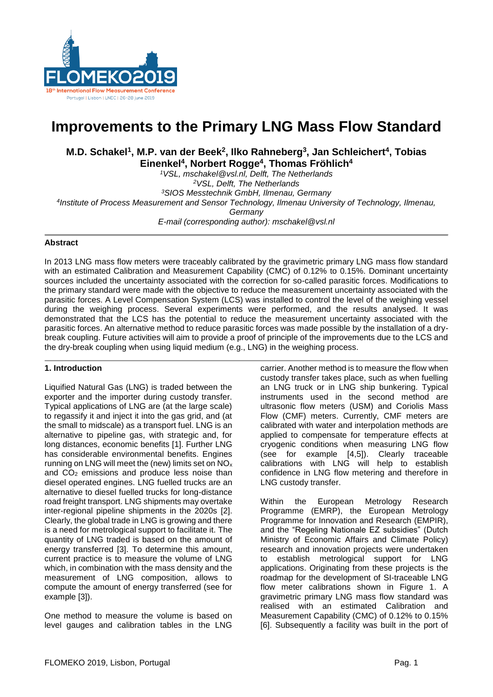

# **Improvements to the Primary LNG Mass Flow Standard**

**M.D. Schakel<sup>1</sup> , M.P. van der Beek<sup>2</sup> , Ilko Rahneberg<sup>3</sup> , Jan Schleichert<sup>4</sup> , Tobias Einenkel<sup>4</sup> , Norbert Rogge<sup>4</sup> , Thomas Fröhlich<sup>4</sup>**

*VSL, mschakel@vsl.nl, Delft, The Netherlands VSL, Delft, The Netherlands SIOS Messtechnik GmbH, Ilmenau, Germany Institute of Process Measurement and Sensor Technology, Ilmenau University of Technology, Ilmenau, Germany E-mail (corresponding author): mschakel@vsl.nl*

## **Abstract**

In 2013 LNG mass flow meters were traceably calibrated by the gravimetric primary LNG mass flow standard with an estimated Calibration and Measurement Capability (CMC) of 0.12% to 0.15%. Dominant uncertainty sources included the uncertainty associated with the correction for so-called parasitic forces. Modifications to the primary standard were made with the objective to reduce the measurement uncertainty associated with the parasitic forces. A Level Compensation System (LCS) was installed to control the level of the weighing vessel during the weighing process. Several experiments were performed, and the results analysed. It was demonstrated that the LCS has the potential to reduce the measurement uncertainty associated with the parasitic forces. An alternative method to reduce parasitic forces was made possible by the installation of a drybreak coupling. Future activities will aim to provide a proof of principle of the improvements due to the LCS and the dry-break coupling when using liquid medium (e.g., LNG) in the weighing process.

# **1. Introduction**

Liquified Natural Gas (LNG) is traded between the exporter and the importer during custody transfer. Typical applications of LNG are (at the large scale) to regassify it and inject it into the gas grid, and (at the small to midscale) as a transport fuel. LNG is an alternative to pipeline gas, with strategic and, for long distances, economic benefits [1]. Further LNG has considerable environmental benefits. Engines running on LNG will meet the (new) limits set on NO<sup>x</sup> and  $CO<sub>2</sub>$  emissions and produce less noise than diesel operated engines. LNG fuelled trucks are an alternative to diesel fuelled trucks for long-distance road freight transport. LNG shipments may overtake inter-regional pipeline shipments in the 2020s [2]. Clearly, the global trade in LNG is growing and there is a need for metrological support to facilitate it. The quantity of LNG traded is based on the amount of energy transferred [3]. To determine this amount, current practice is to measure the volume of LNG which, in combination with the mass density and the measurement of LNG composition, allows to compute the amount of energy transferred (see for example [3]).

One method to measure the volume is based on level gauges and calibration tables in the LNG carrier. Another method is to measure the flow when custody transfer takes place, such as when fuelling an LNG truck or in LNG ship bunkering. Typical instruments used in the second method are ultrasonic flow meters (USM) and Coriolis Mass Flow (CMF) meters. Currently, CMF meters are calibrated with water and interpolation methods are applied to compensate for temperature effects at cryogenic conditions when measuring LNG flow (see for example [4,5]). Clearly traceable calibrations with LNG will help to establish confidence in LNG flow metering and therefore in LNG custody transfer.

Within the European Metrology Research Programme (EMRP), the European Metrology Programme for Innovation and Research (EMPIR), and the "Regeling Nationale EZ subsidies" (Dutch Ministry of Economic Affairs and Climate Policy) research and innovation projects were undertaken to establish metrological support for LNG applications. Originating from these projects is the roadmap for the development of SI-traceable LNG flow meter calibrations shown in Figure 1. A gravimetric primary LNG mass flow standard was realised with an estimated Calibration and Measurement Capability (CMC) of 0.12% to 0.15% [6]. Subsequently a facility was built in the port of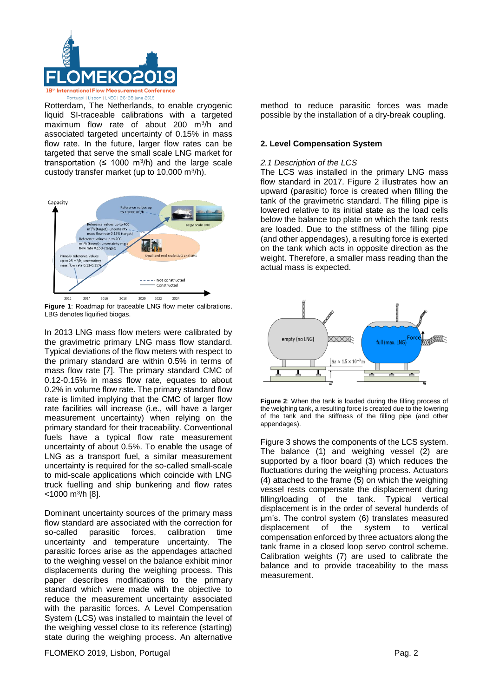

Rotterdam, The Netherlands, to enable cryogenic liquid SI-traceable calibrations with a targeted maximum flow rate of about 200 m<sup>3</sup> /h and associated targeted uncertainty of 0.15% in mass flow rate. In the future, larger flow rates can be targeted that serve the small scale LNG market for transportation ( $\leq 1000$  m<sup>3</sup>/h) and the large scale custody transfer market (up to  $10,000$  m $\frac{3}{h}$ ).



**Figure 1**: Roadmap for traceable LNG flow meter calibrations. LBG denotes liquified biogas.

In 2013 LNG mass flow meters were calibrated by the gravimetric primary LNG mass flow standard. Typical deviations of the flow meters with respect to the primary standard are within 0.5% in terms of mass flow rate [7]. The primary standard CMC of 0.12-0.15% in mass flow rate, equates to about 0.2% in volume flow rate. The primary standard flow rate is limited implying that the CMC of larger flow rate facilities will increase (i.e., will have a larger measurement uncertainty) when relying on the primary standard for their traceability. Conventional fuels have a typical flow rate measurement uncertainty of about 0.5%. To enable the usage of LNG as a transport fuel, a similar measurement uncertainty is required for the so-called small-scale to mid-scale applications which coincide with LNG truck fuelling and ship bunkering and flow rates <1000 m<sup>3</sup> /h [8].

Dominant uncertainty sources of the primary mass flow standard are associated with the correction for so-called parasitic forces, calibration time uncertainty and temperature uncertainty. The parasitic forces arise as the appendages attached to the weighing vessel on the balance exhibit minor displacements during the weighing process. This paper describes modifications to the primary standard which were made with the objective to reduce the measurement uncertainty associated with the parasitic forces. A Level Compensation System (LCS) was installed to maintain the level of the weighing vessel close to its reference (starting) state during the weighing process. An alternative method to reduce parasitic forces was made possible by the installation of a dry-break coupling.

### **2. Level Compensation System**

### *2.1 Description of the LCS*

The LCS was installed in the primary LNG mass flow standard in 2017. Figure 2 illustrates how an upward (parasitic) force is created when filling the tank of the gravimetric standard. The filling pipe is lowered relative to its initial state as the load cells below the balance top plate on which the tank rests are loaded. Due to the stiffness of the filling pipe (and other appendages), a resulting force is exerted on the tank which acts in opposite direction as the weight. Therefore, a smaller mass reading than the actual mass is expected.



**Figure 2**: When the tank is loaded during the filling process of the weighing tank, a resulting force is created due to the lowering of the tank and the stiffness of the filling pipe (and other appendages).

Figure 3 shows the components of the LCS system. The balance (1) and weighing vessel (2) are supported by a floor board (3) which reduces the fluctuations during the weighing process. Actuators (4) attached to the frame (5) on which the weighing vessel rests compensate the displacement during filling/loading of the tank. Typical vertical displacement is in the order of several hunderds of µm's. The control system (6) translates measured displacement of the system to vertical compensation enforced by three actuators along the tank frame in a closed loop servo control scheme. Calibration weights (7) are used to calibrate the balance and to provide traceability to the mass measurement.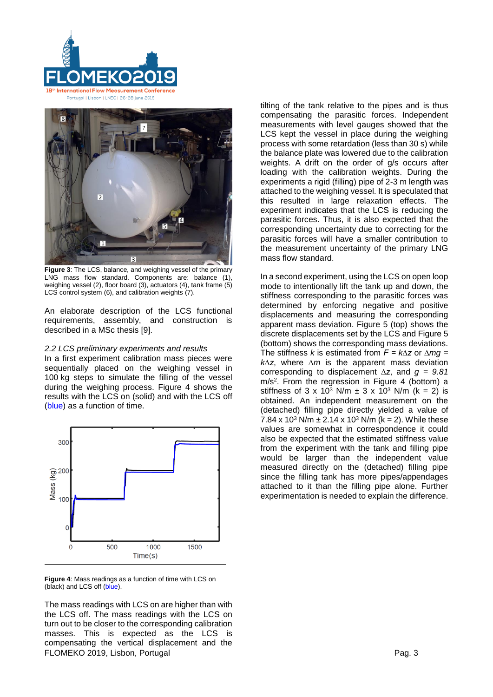



**Figure 3**: The LCS, balance, and weighing vessel of the primary LNG mass flow standard. Components are: balance (1), weighing vessel (2), floor board (3), actuators (4), tank frame (5) LCS control system (6), and calibration weights (7).

An elaborate description of the LCS functional requirements, assembly, and construction is described in a MSc thesis [9].

## *2.2 LCS preliminary experiments and results*

In a first experiment calibration mass pieces were sequentially placed on the weighing vessel in 100 kg steps to simulate the filling of the vessel during the weighing process. Figure 4 shows the results with the LCS on (solid) and with the LCS off (blue) as a function of time.



**Figure 4**: Mass readings as a function of time with LCS on (black) and LCS off (blue).

FLOMEKO 2019, Lisbon, Portugal Page 2019, Page 2019, Page 2019, Page 30, 2019, Page 30, 2019, Page 30, 2019, Page 30, 2019, Page 30, 2019, Page 30, 2019, Page 30, 2019, Page 30, 2019, Page 30, 2019, Page 30, 2019, Page 30, The mass readings with LCS on are higher than with the LCS off. The mass readings with the LCS on turn out to be closer to the corresponding calibration masses. This is expected as the LCS is compensating the vertical displacement and the

tilting of the tank relative to the pipes and is thus compensating the parasitic forces. Independent measurements with level gauges showed that the LCS kept the vessel in place during the weighing process with some retardation (less than 30 s) while the balance plate was lowered due to the calibration weights. A drift on the order of g/s occurs after loading with the calibration weights. During the experiments a rigid (filling) pipe of 2-3 m length was attached to the weighing vessel. It is speculated that this resulted in large relaxation effects. The experiment indicates that the LCS is reducing the parasitic forces. Thus, it is also expected that the corresponding uncertainty due to correcting for the parasitic forces will have a smaller contribution to the measurement uncertainty of the primary LNG mass flow standard.

In a second experiment, using the LCS on open loop mode to intentionally lift the tank up and down, the stiffness corresponding to the parasitic forces was determined by enforcing negative and positive displacements and measuring the corresponding apparent mass deviation. Figure 5 (top) shows the discrete displacements set by the LCS and Figure 5 (bottom) shows the corresponding mass deviations. The stiffness *k* is estimated from *F = k∆z* or *∆mg = k∆z*, where *∆m* is the apparent mass deviation corresponding to displacement *∆z*, and *g = 9.81* m/s<sup>2</sup> . From the regression in Figure 4 (bottom) a stiffness of 3 x 10<sup>3</sup> N/m  $\pm$  3 x 10<sup>3</sup> N/m (k = 2) is obtained. An independent measurement on the (detached) filling pipe directly yielded a value of 7.84 x 10<sup>3</sup> N/m  $\pm$  2.14 x 10<sup>3</sup> N/m (k = 2). While these values are somewhat in correspondence it could also be expected that the estimated stiffness value from the experiment with the tank and filling pipe would be larger than the independent value measured directly on the (detached) filling pipe since the filling tank has more pipes/appendages attached to it than the filling pipe alone. Further experimentation is needed to explain the difference.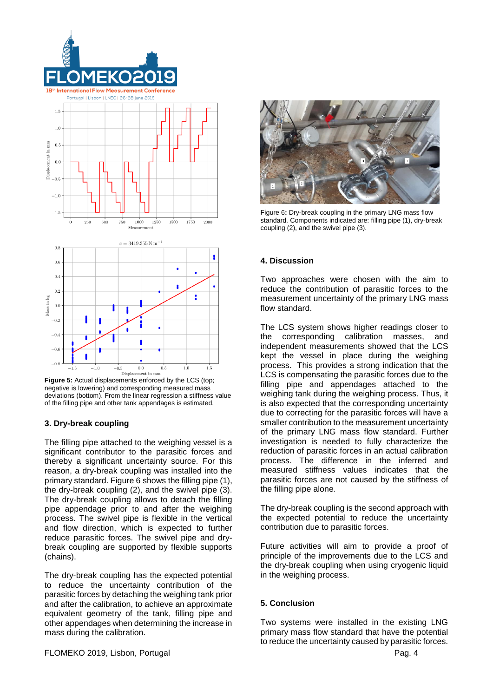

**Figure 5:** Actual displacements enforced by the LCS (top; negative is lowering) and corresponding measured mass deviations (bottom). From the linear regression a stiffness value of the filling pipe and other tank appendages is estimated.

# **3. Dry-break coupling**

The filling pipe attached to the weighing vessel is a significant contributor to the parasitic forces and thereby a significant uncertainty source. For this reason, a dry-break coupling was installed into the primary standard. Figure 6 shows the filling pipe (1), the dry-break coupling (2), and the swivel pipe (3). The dry-break coupling allows to detach the filling pipe appendage prior to and after the weighing process. The swivel pipe is flexible in the vertical and flow direction, which is expected to further reduce parasitic forces. The swivel pipe and drybreak coupling are supported by flexible supports (chains).

The dry-break coupling has the expected potential to reduce the uncertainty contribution of the parasitic forces by detaching the weighing tank prior and after the calibration, to achieve an approximate equivalent geometry of the tank, filling pipe and other appendages when determining the increase in mass during the calibration.



Figure 6**:** Dry-break coupling in the primary LNG mass flow standard. Components indicated are: filling pipe (1), dry-break coupling (2), and the swivel pipe (3).

## **4. Discussion**

Two approaches were chosen with the aim to reduce the contribution of parasitic forces to the measurement uncertainty of the primary LNG mass flow standard.

The LCS system shows higher readings closer to the corresponding calibration masses, and independent measurements showed that the LCS kept the vessel in place during the weighing process. This provides a strong indication that the LCS is compensating the parasitic forces due to the filling pipe and appendages attached to the weighing tank during the weighing process. Thus, it is also expected that the corresponding uncertainty due to correcting for the parasitic forces will have a smaller contribution to the measurement uncertainty of the primary LNG mass flow standard. Further investigation is needed to fully characterize the reduction of parasitic forces in an actual calibration process. The difference in the inferred and measured stiffness values indicates that the parasitic forces are not caused by the stiffness of the filling pipe alone.

The dry-break coupling is the second approach with the expected potential to reduce the uncertainty contribution due to parasitic forces.

Future activities will aim to provide a proof of principle of the improvements due to the LCS and the dry-break coupling when using cryogenic liquid in the weighing process.

#### **5. Conclusion**

Two systems were installed in the existing LNG primary mass flow standard that have the potential to reduce the uncertainty caused by parasitic forces.